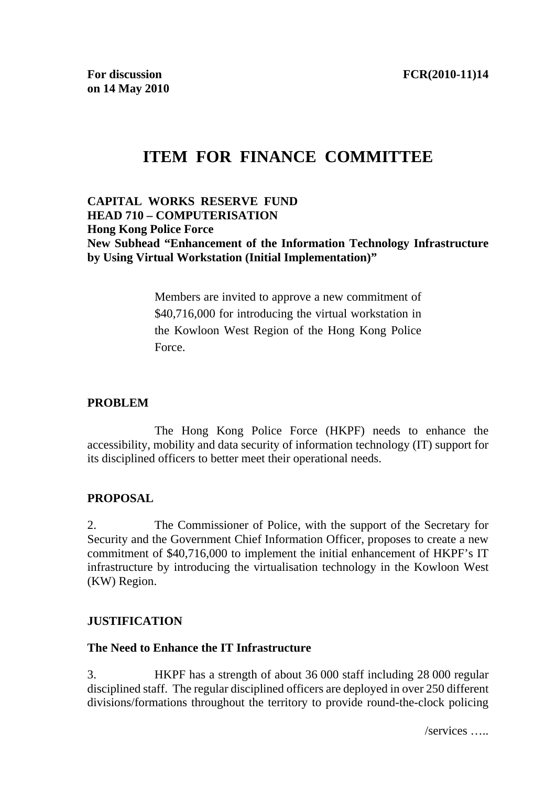# **ITEM FOR FINANCE COMMITTEE**

## **CAPITAL WORKS RESERVE FUND HEAD 710 – COMPUTERISATION Hong Kong Police Force New Subhead "Enhancement of the Information Technology Infrastructure by Using Virtual Workstation (Initial Implementation)"**

Members are invited to approve a new commitment of \$40,716,000 for introducing the virtual workstation in the Kowloon West Region of the Hong Kong Police Force.

## **PROBLEM**

 The Hong Kong Police Force (HKPF) needs to enhance the accessibility, mobility and data security of information technology (IT) support for its disciplined officers to better meet their operational needs.

## **PROPOSAL**

2. The Commissioner of Police, with the support of the Secretary for Security and the Government Chief Information Officer, proposes to create a new commitment of \$40,716,000 to implement the initial enhancement of HKPF's IT infrastructure by introducing the virtualisation technology in the Kowloon West (KW) Region.

## **JUSTIFICATION**

## **The Need to Enhance the IT Infrastructure**

3. HKPF has a strength of about 36 000 staff including 28 000 regular disciplined staff. The regular disciplined officers are deployed in over 250 different divisions/formations throughout the territory to provide round-the-clock policing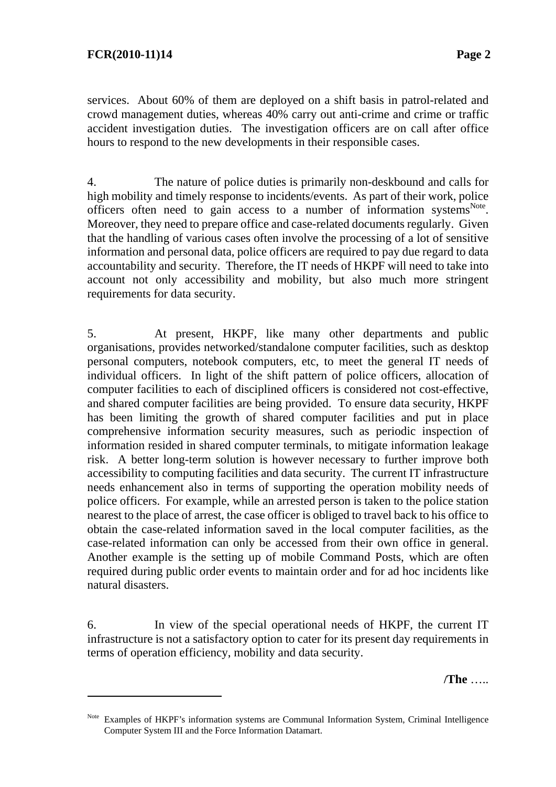$\overline{a}$ 

services. About 60% of them are deployed on a shift basis in patrol-related and crowd management duties, whereas 40% carry out anti-crime and crime or traffic accident investigation duties. The investigation officers are on call after office hours to respond to the new developments in their responsible cases.

4. The nature of police duties is primarily non-deskbound and calls for high mobility and timely response to incidents/events. As part of their work, police officers often need to gain access to a number of information systems<sup>Note</sup>. Moreover, they need to prepare office and case-related documents regularly. Given that the handling of various cases often involve the processing of a lot of sensitive information and personal data, police officers are required to pay due regard to data accountability and security. Therefore, the IT needs of HKPF will need to take into account not only accessibility and mobility, but also much more stringent requirements for data security.

5. At present, HKPF, like many other departments and public organisations, provides networked/standalone computer facilities, such as desktop personal computers, notebook computers, etc, to meet the general IT needs of individual officers. In light of the shift pattern of police officers, allocation of computer facilities to each of disciplined officers is considered not cost-effective, and shared computer facilities are being provided. To ensure data security, HKPF has been limiting the growth of shared computer facilities and put in place comprehensive information security measures, such as periodic inspection of information resided in shared computer terminals, to mitigate information leakage risk. A better long-term solution is however necessary to further improve both accessibility to computing facilities and data security. The current IT infrastructure needs enhancement also in terms of supporting the operation mobility needs of police officers. For example, while an arrested person is taken to the police station nearest to the place of arrest, the case officer is obliged to travel back to his office to obtain the case-related information saved in the local computer facilities, as the case-related information can only be accessed from their own office in general. Another example is the setting up of mobile Command Posts, which are often required during public order events to maintain order and for ad hoc incidents like natural disasters.

6. In view of the special operational needs of HKPF, the current IT infrastructure is not a satisfactory option to cater for its present day requirements in terms of operation efficiency, mobility and data security.

**/The** …..

Note Examples of HKPF's information systems are Communal Information System, Criminal Intelligence Computer System III and the Force Information Datamart.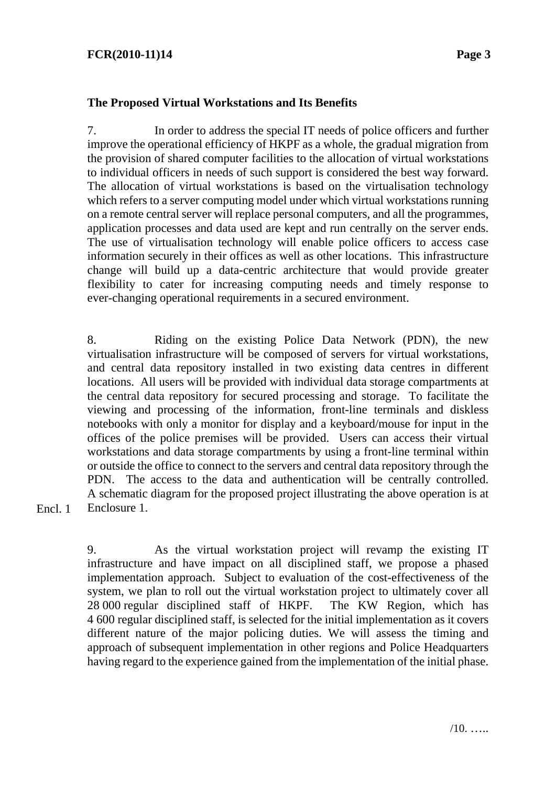## **FCR(2010-11)14 Page 3**

#### **The Proposed Virtual Workstations and Its Benefits**

7. In order to address the special IT needs of police officers and further improve the operational efficiency of HKPF as a whole, the gradual migration from the provision of shared computer facilities to the allocation of virtual workstations to individual officers in needs of such support is considered the best way forward. The allocation of virtual workstations is based on the virtualisation technology which refers to a server computing model under which virtual workstations running on a remote central server will replace personal computers, and all the programmes, application processes and data used are kept and run centrally on the server ends. The use of virtualisation technology will enable police officers to access case information securely in their offices as well as other locations. This infrastructure change will build up a data-centric architecture that would provide greater flexibility to cater for increasing computing needs and timely response to ever-changing operational requirements in a secured environment.

8. Riding on the existing Police Data Network (PDN), the new virtualisation infrastructure will be composed of servers for virtual workstations, and central data repository installed in two existing data centres in different locations. All users will be provided with individual data storage compartments at the central data repository for secured processing and storage. To facilitate the viewing and processing of the information, front-line terminals and diskless notebooks with only a monitor for display and a keyboard/mouse for input in the offices of the police premises will be provided. Users can access their virtual workstations and data storage compartments by using a front-line terminal within or outside the office to connect to the servers and central data repository through the PDN. The access to the data and authentication will be centrally controlled. A schematic diagram for the proposed project illustrating the above operation is at Enclosure 1.

Encl. 1

9. As the virtual workstation project will revamp the existing IT infrastructure and have impact on all disciplined staff, we propose a phased implementation approach. Subject to evaluation of the cost-effectiveness of the system, we plan to roll out the virtual workstation project to ultimately cover all 28 000 regular disciplined staff of HKPF. The KW Region, which has 4 600 regular disciplined staff, is selected for the initial implementation as it covers different nature of the major policing duties. We will assess the timing and approach of subsequent implementation in other regions and Police Headquarters having regard to the experience gained from the implementation of the initial phase.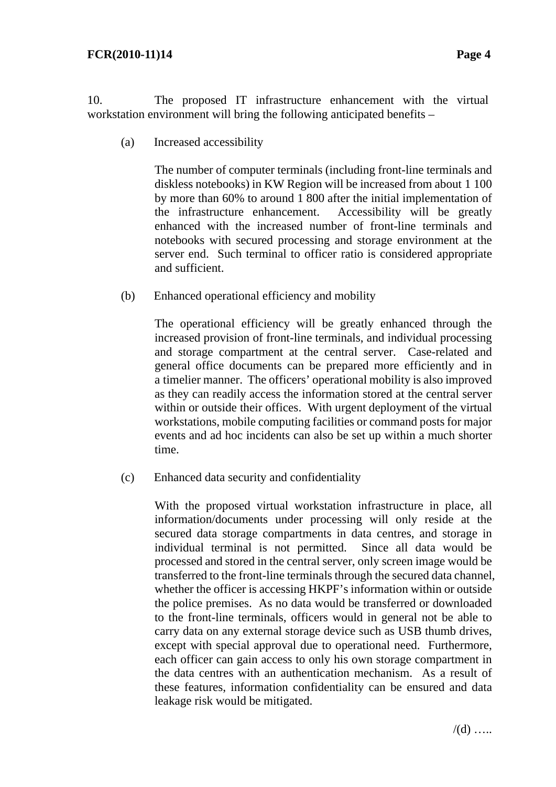10. The proposed IT infrastructure enhancement with the virtual workstation environment will bring the following anticipated benefits –

(a) Increased accessibility

 The number of computer terminals (including front-line terminals and diskless notebooks) in KW Region will be increased from about 1 100 by more than 60% to around 1 800 after the initial implementation of the infrastructure enhancement. Accessibility will be greatly enhanced with the increased number of front-line terminals and notebooks with secured processing and storage environment at the server end. Such terminal to officer ratio is considered appropriate and sufficient.

(b) Enhanced operational efficiency and mobility

 The operational efficiency will be greatly enhanced through the increased provision of front-line terminals, and individual processing and storage compartment at the central server. Case-related and general office documents can be prepared more efficiently and in a timelier manner. The officers' operational mobility is also improved as they can readily access the information stored at the central server within or outside their offices. With urgent deployment of the virtual workstations, mobile computing facilities or command posts for major events and ad hoc incidents can also be set up within a much shorter time.

(c) Enhanced data security and confidentiality

 With the proposed virtual workstation infrastructure in place, all information/documents under processing will only reside at the secured data storage compartments in data centres, and storage in individual terminal is not permitted. Since all data would be processed and stored in the central server, only screen image would be transferred to the front-line terminals through the secured data channel, whether the officer is accessing HKPF's information within or outside the police premises. As no data would be transferred or downloaded to the front-line terminals, officers would in general not be able to carry data on any external storage device such as USB thumb drives, except with special approval due to operational need. Furthermore, each officer can gain access to only his own storage compartment in the data centres with an authentication mechanism. As a result of these features, information confidentiality can be ensured and data leakage risk would be mitigated.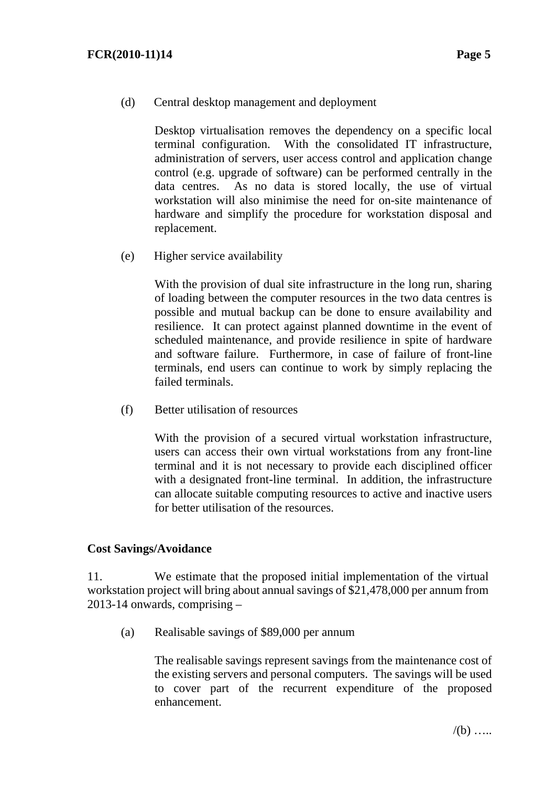(d) Central desktop management and deployment

 Desktop virtualisation removes the dependency on a specific local terminal configuration. With the consolidated IT infrastructure, administration of servers, user access control and application change control (e.g. upgrade of software) can be performed centrally in the data centres. As no data is stored locally, the use of virtual workstation will also minimise the need for on-site maintenance of hardware and simplify the procedure for workstation disposal and replacement.

(e) Higher service availability

 With the provision of dual site infrastructure in the long run, sharing of loading between the computer resources in the two data centres is possible and mutual backup can be done to ensure availability and resilience. It can protect against planned downtime in the event of scheduled maintenance, and provide resilience in spite of hardware and software failure. Furthermore, in case of failure of front-line terminals, end users can continue to work by simply replacing the failed terminals.

(f) Better utilisation of resources

With the provision of a secured virtual workstation infrastructure, users can access their own virtual workstations from any front-line terminal and it is not necessary to provide each disciplined officer with a designated front-line terminal. In addition, the infrastructure can allocate suitable computing resources to active and inactive users for better utilisation of the resources.

#### **Cost Savings/Avoidance**

11. We estimate that the proposed initial implementation of the virtual workstation project will bring about annual savings of \$21,478,000 per annum from 2013-14 onwards, comprising –

(a) Realisable savings of \$89,000 per annum

 The realisable savings represent savings from the maintenance cost of the existing servers and personal computers. The savings will be used to cover part of the recurrent expenditure of the proposed enhancement.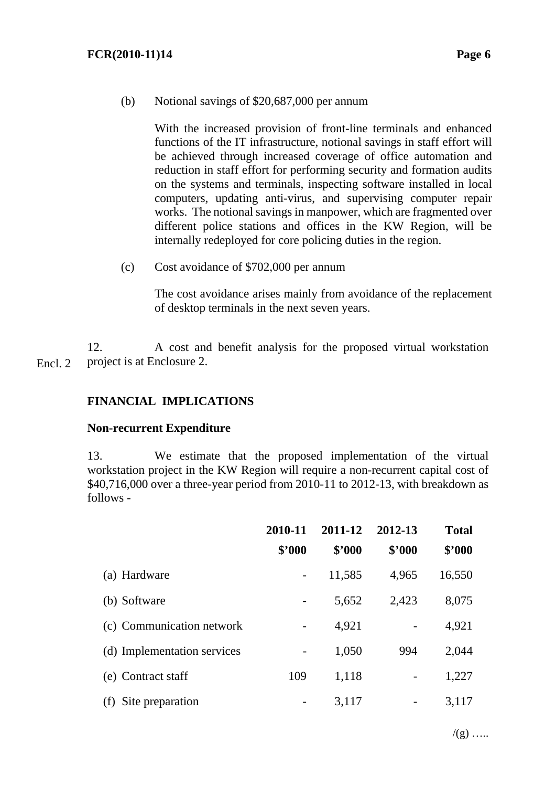(b) Notional savings of \$20,687,000 per annum

 With the increased provision of front-line terminals and enhanced functions of the IT infrastructure, notional savings in staff effort will be achieved through increased coverage of office automation and reduction in staff effort for performing security and formation audits on the systems and terminals, inspecting software installed in local computers, updating anti-virus, and supervising computer repair works. The notional savings in manpower, which are fragmented over different police stations and offices in the KW Region, will be internally redeployed for core policing duties in the region.

(c) Cost avoidance of \$702,000 per annum

 The cost avoidance arises mainly from avoidance of the replacement of desktop terminals in the next seven years.

12. A cost and benefit analysis for the proposed virtual workstation project is at Enclosure 2. Encl. 2

## **FINANCIAL IMPLICATIONS**

#### **Non-recurrent Expenditure**

13. We estimate that the proposed implementation of the virtual workstation project in the KW Region will require a non-recurrent capital cost of \$40,716,000 over a three-year period from 2010-11 to 2012-13, with breakdown as follows -

|                             | 2010-11<br>\$'000 | 2011-12<br>\$2000 | 2012-13<br>\$'000 | <b>Total</b><br>\$'000 |
|-----------------------------|-------------------|-------------------|-------------------|------------------------|
| (a) Hardware                |                   | 11,585            | 4,965             | 16,550                 |
| (b) Software                |                   | 5,652             | 2,423             | 8,075                  |
| (c) Communication network   |                   | 4,921             |                   | 4,921                  |
| (d) Implementation services |                   | 1,050             | 994               | 2,044                  |
| (e) Contract staff          | 109               | 1,118             |                   | 1,227                  |
| (f) Site preparation        |                   | 3,117             |                   | 3,117                  |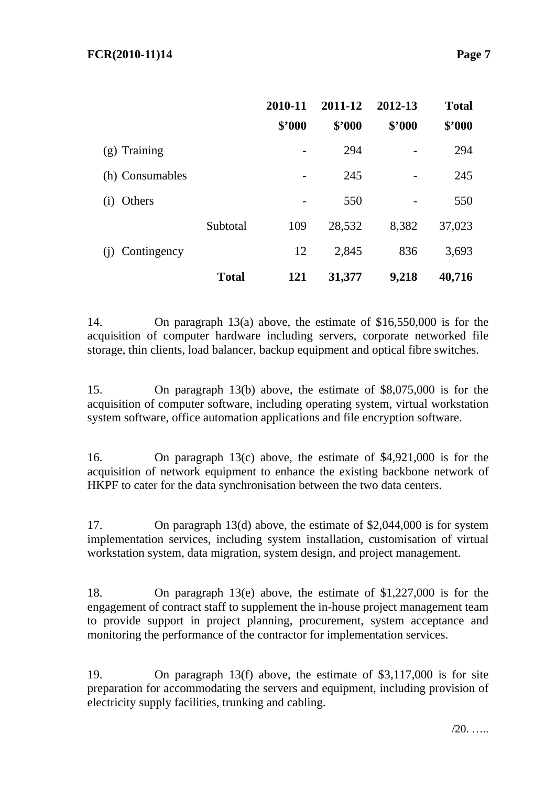|                    |              | 2010-11<br>\$'000 | 2011-12<br>\$2000 | 2012-13<br>\$'000 | <b>Total</b><br>\$'000 |
|--------------------|--------------|-------------------|-------------------|-------------------|------------------------|
| $(g)$ Training     |              |                   | 294               |                   | 294                    |
| (h) Consumables    |              |                   | 245               |                   | 245                    |
| Others<br>(i)      |              |                   | 550               |                   | 550                    |
|                    | Subtotal     | 109               | 28,532            | 8,382             | 37,023                 |
| Contingency<br>(i) |              | 12                | 2,845             | 836               | 3,693                  |
|                    | <b>Total</b> | 121               | 31,377            | 9,218             | 40,716                 |

14. On paragraph 13(a) above, the estimate of \$16,550,000 is for the acquisition of computer hardware including servers, corporate networked file storage, thin clients, load balancer, backup equipment and optical fibre switches.

15. On paragraph 13(b) above, the estimate of \$8,075,000 is for the acquisition of computer software, including operating system, virtual workstation system software, office automation applications and file encryption software.

16. On paragraph 13(c) above, the estimate of \$4,921,000 is for the acquisition of network equipment to enhance the existing backbone network of HKPF to cater for the data synchronisation between the two data centers.

17. On paragraph 13(d) above, the estimate of \$2,044,000 is for system implementation services, including system installation, customisation of virtual workstation system, data migration, system design, and project management.

18. On paragraph 13(e) above, the estimate of \$1,227,000 is for the engagement of contract staff to supplement the in-house project management team to provide support in project planning, procurement, system acceptance and monitoring the performance of the contractor for implementation services.

19. On paragraph 13(f) above, the estimate of \$3,117,000 is for site preparation for accommodating the servers and equipment, including provision of electricity supply facilities, trunking and cabling.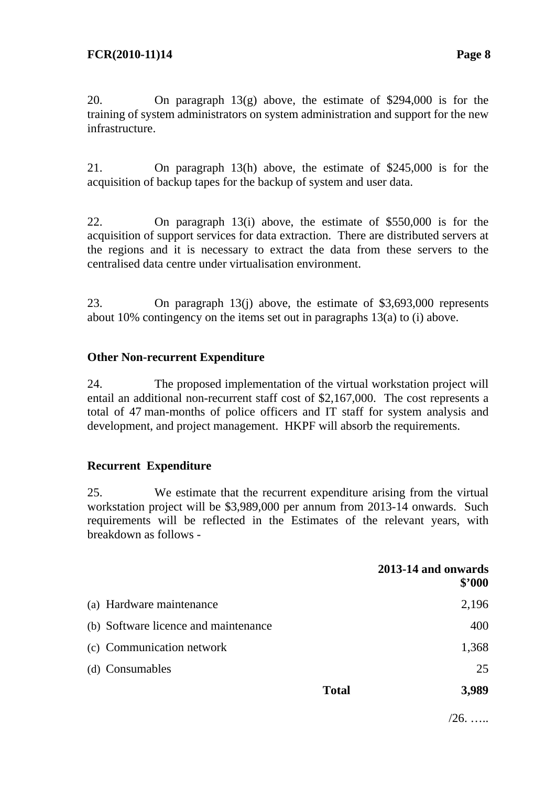20. On paragraph 13(g) above, the estimate of \$294,000 is for the training of system administrators on system administration and support for the new infrastructure.

21. On paragraph 13(h) above, the estimate of \$245,000 is for the acquisition of backup tapes for the backup of system and user data.

22. On paragraph 13(i) above, the estimate of \$550,000 is for the acquisition of support services for data extraction. There are distributed servers at the regions and it is necessary to extract the data from these servers to the centralised data centre under virtualisation environment.

23. On paragraph 13(j) above, the estimate of \$3,693,000 represents about 10% contingency on the items set out in paragraphs 13(a) to (i) above.

## **Other Non-recurrent Expenditure**

24. The proposed implementation of the virtual workstation project will entail an additional non-recurrent staff cost of \$2,167,000. The cost represents a total of 47 man-months of police officers and IT staff for system analysis and development, and project management. HKPF will absorb the requirements.

## **Recurrent Expenditure**

25. We estimate that the recurrent expenditure arising from the virtual workstation project will be \$3,989,000 per annum from 2013-14 onwards. Such requirements will be reflected in the Estimates of the relevant years, with breakdown as follows -

|                                      |              | 2013-14 and onwards<br>\$2000 |
|--------------------------------------|--------------|-------------------------------|
| (a) Hardware maintenance             |              | 2,196                         |
| (b) Software licence and maintenance |              | 400                           |
| (c) Communication network            |              | 1,368                         |
| (d) Consumables                      |              | 25                            |
|                                      | <b>Total</b> | 3,989                         |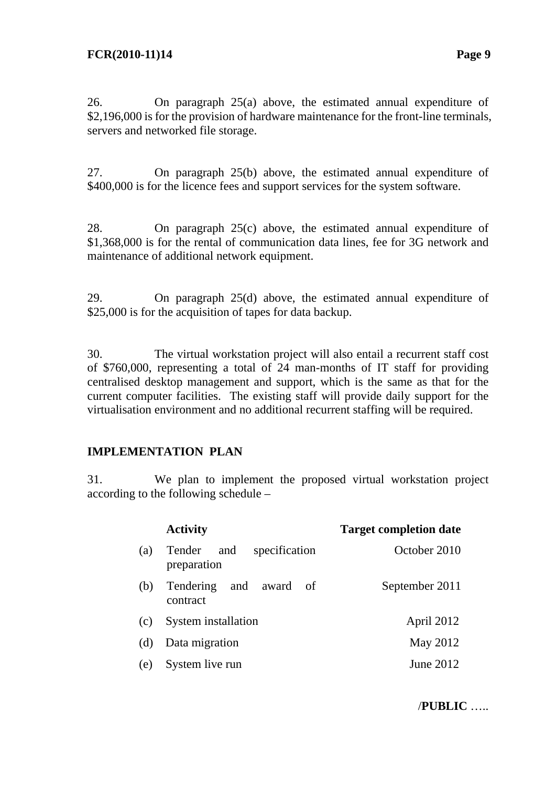26. On paragraph 25(a) above, the estimated annual expenditure of \$2,196,000 is for the provision of hardware maintenance for the front-line terminals, servers and networked file storage.

27. On paragraph 25(b) above, the estimated annual expenditure of \$400,000 is for the licence fees and support services for the system software.

28. On paragraph 25(c) above, the estimated annual expenditure of \$1,368,000 is for the rental of communication data lines, fee for 3G network and maintenance of additional network equipment.

29. On paragraph 25(d) above, the estimated annual expenditure of \$25,000 is for the acquisition of tapes for data backup.

30. The virtual workstation project will also entail a recurrent staff cost of \$760,000, representing a total of 24 man-months of IT staff for providing centralised desktop management and support, which is the same as that for the current computer facilities. The existing staff will provide daily support for the virtualisation environment and no additional recurrent staffing will be required.

## **IMPLEMENTATION PLAN**

31. We plan to implement the proposed virtual workstation project according to the following schedule –

|     | <b>Activity</b>                               | <b>Target completion date</b> |  |  |  |
|-----|-----------------------------------------------|-------------------------------|--|--|--|
| (a) | specification<br>Tender<br>and<br>preparation | October 2010                  |  |  |  |
| (b) | and<br>Tendering<br>award of<br>contract      | September 2011                |  |  |  |
| (c) | System installation                           | April 2012                    |  |  |  |
| (d) | Data migration                                | May 2012                      |  |  |  |
| (e) | System live run                               | June 2012                     |  |  |  |

/**PUBLIC** …..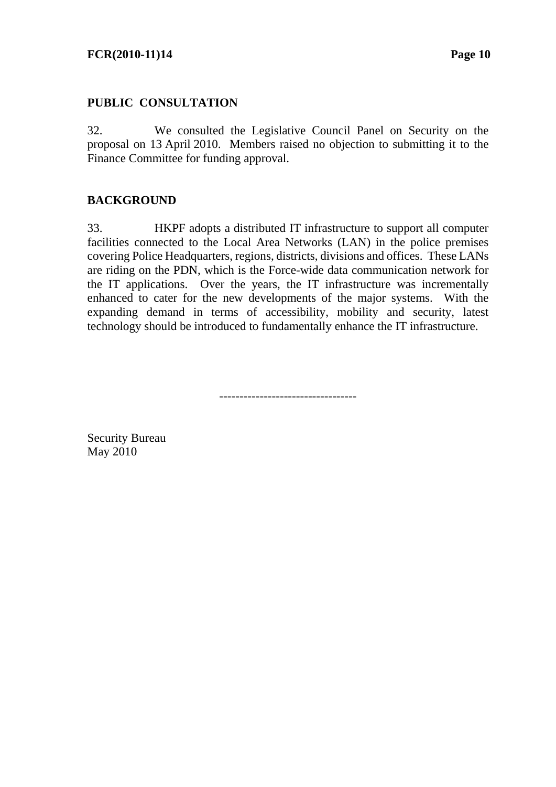## **FCR(2010-11)14** Page 10

#### **PUBLIC CONSULTATION**

32. We consulted the Legislative Council Panel on Security on the proposal on 13 April 2010. Members raised no objection to submitting it to the Finance Committee for funding approval.

#### **BACKGROUND**

33. HKPF adopts a distributed IT infrastructure to support all computer facilities connected to the Local Area Networks (LAN) in the police premises covering Police Headquarters, regions, districts, divisions and offices. These LANs are riding on the PDN, which is the Force-wide data communication network for the IT applications. Over the years, the IT infrastructure was incrementally enhanced to cater for the new developments of the major systems. With the expanding demand in terms of accessibility, mobility and security, latest technology should be introduced to fundamentally enhance the IT infrastructure.

----------------------------------

Security Bureau May 2010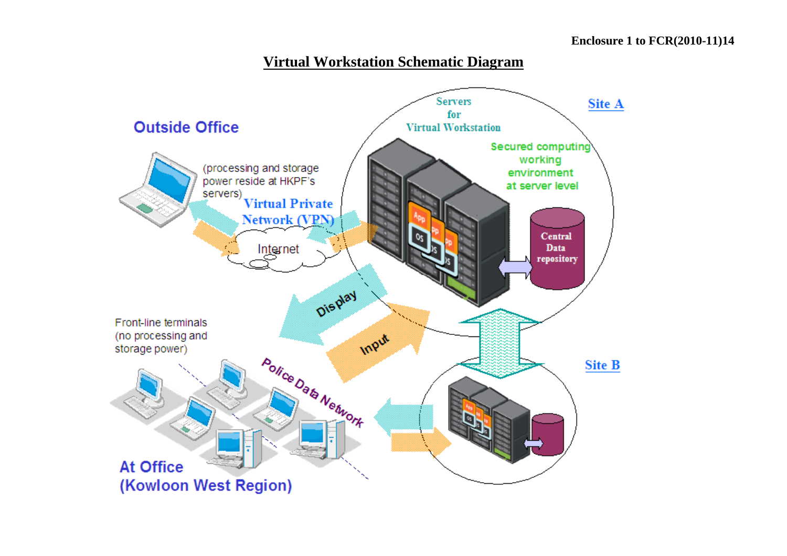## **Virtual Workstation Schematic Diagram**